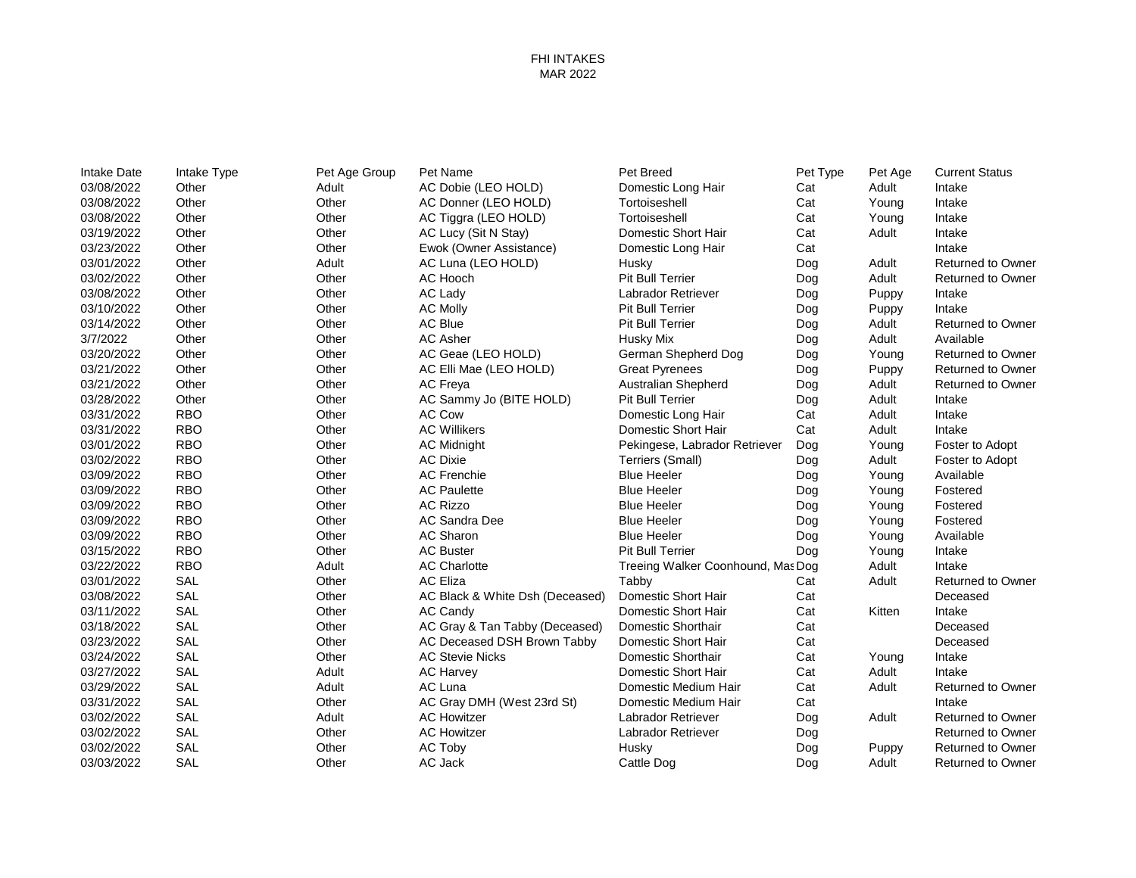## FHI INTAKES MAR 2022

| Intake Date | Intake Type | Pet Age Group | Pet Name                        | Pet Breed                         | Pet Type | Pet Age | <b>Current Status</b>    |
|-------------|-------------|---------------|---------------------------------|-----------------------------------|----------|---------|--------------------------|
| 03/08/2022  | Other       | Adult         | AC Dobie (LEO HOLD)             | Domestic Long Hair                | Cat      | Adult   | Intake                   |
| 03/08/2022  | Other       | Other         | AC Donner (LEO HOLD)            | Tortoiseshell                     | Cat      | Young   | Intake                   |
| 03/08/2022  | Other       | Other         | AC Tiggra (LEO HOLD)            | Tortoiseshell                     | Cat      | Young   | Intake                   |
| 03/19/2022  | Other       | Other         | AC Lucy (Sit N Stay)            | Domestic Short Hair               | Cat      | Adult   | Intake                   |
| 03/23/2022  | Other       | Other         | Ewok (Owner Assistance)         | Domestic Long Hair                | Cat      |         | Intake                   |
| 03/01/2022  | Other       | Adult         | AC Luna (LEO HOLD)              | Husky                             | Dog      | Adult   | <b>Returned to Owner</b> |
| 03/02/2022  | Other       | Other         | AC Hooch                        | <b>Pit Bull Terrier</b>           | Dog      | Adult   | <b>Returned to Owner</b> |
| 03/08/2022  | Other       | Other         | AC Lady                         | Labrador Retriever                | Dog      | Puppy   | Intake                   |
| 03/10/2022  | Other       | Other         | <b>AC Molly</b>                 | <b>Pit Bull Terrier</b>           | Dog      | Puppy   | Intake                   |
| 03/14/2022  | Other       | Other         | AC Blue                         | <b>Pit Bull Terrier</b>           | Dog      | Adult   | Returned to Owner        |
| 3/7/2022    | Other       | Other         | <b>AC Asher</b>                 | Husky Mix                         | Dog      | Adult   | Available                |
| 03/20/2022  | Other       | Other         | AC Geae (LEO HOLD)              | German Shepherd Dog               | Dog      | Young   | <b>Returned to Owner</b> |
| 03/21/2022  | Other       | Other         | AC Elli Mae (LEO HOLD)          | <b>Great Pyrenees</b>             | Dog      | Puppy   | <b>Returned to Owner</b> |
| 03/21/2022  | Other       | Other         | AC Freya                        | <b>Australian Shepherd</b>        | Dog      | Adult   | <b>Returned to Owner</b> |
| 03/28/2022  | Other       | Other         | AC Sammy Jo (BITE HOLD)         | <b>Pit Bull Terrier</b>           | Dog      | Adult   | Intake                   |
| 03/31/2022  | <b>RBO</b>  | Other         | <b>AC Cow</b>                   | Domestic Long Hair                | Cat      | Adult   | Intake                   |
| 03/31/2022  | <b>RBO</b>  | Other         | <b>AC Willikers</b>             | Domestic Short Hair               | Cat      | Adult   | Intake                   |
| 03/01/2022  | <b>RBO</b>  | Other         | <b>AC Midnight</b>              | Pekingese, Labrador Retriever     | Dog      | Young   | Foster to Adopt          |
| 03/02/2022  | <b>RBO</b>  | Other         | <b>AC Dixie</b>                 | Terriers (Small)                  | Dog      | Adult   | Foster to Adopt          |
| 03/09/2022  | <b>RBO</b>  | Other         | <b>AC Frenchie</b>              | <b>Blue Heeler</b>                | Dog      | Young   | Available                |
| 03/09/2022  | <b>RBO</b>  | Other         | <b>AC Paulette</b>              | <b>Blue Heeler</b>                | Dog      | Young   | Fostered                 |
| 03/09/2022  | <b>RBO</b>  | Other         | <b>AC Rizzo</b>                 | <b>Blue Heeler</b>                | Dog      | Young   | Fostered                 |
| 03/09/2022  | <b>RBO</b>  | Other         | AC Sandra Dee                   | <b>Blue Heeler</b>                | Dog      | Young   | Fostered                 |
| 03/09/2022  | <b>RBO</b>  | Other         | AC Sharon                       | <b>Blue Heeler</b>                | Dog      | Young   | Available                |
| 03/15/2022  | <b>RBO</b>  | Other         | <b>AC Buster</b>                | <b>Pit Bull Terrier</b>           | Dog      | Young   | Intake                   |
| 03/22/2022  | <b>RBO</b>  | Adult         | <b>AC Charlotte</b>             | Treeing Walker Coonhound, Mas Dog |          | Adult   | Intake                   |
| 03/01/2022  | <b>SAL</b>  | Other         | <b>AC Eliza</b>                 | Tabby                             | Cat      | Adult   | <b>Returned to Owner</b> |
| 03/08/2022  | <b>SAL</b>  | Other         | AC Black & White Dsh (Deceased) | Domestic Short Hair               | Cat      |         | Deceased                 |
| 03/11/2022  | SAL         | Other         | AC Candy                        | Domestic Short Hair               | Cat      | Kitten  | Intake                   |
| 03/18/2022  | SAL         | Other         | AC Gray & Tan Tabby (Deceased)  | Domestic Shorthair                | Cat      |         | Deceased                 |
| 03/23/2022  | SAL         | Other         | AC Deceased DSH Brown Tabby     | Domestic Short Hair               | Cat      |         | Deceased                 |
| 03/24/2022  | <b>SAL</b>  | Other         | <b>AC Stevie Nicks</b>          | Domestic Shorthair                | Cat      | Young   | Intake                   |
| 03/27/2022  | <b>SAL</b>  | Adult         | <b>AC Harvey</b>                | Domestic Short Hair               | Cat      | Adult   | Intake                   |
| 03/29/2022  | <b>SAL</b>  | Adult         | AC Luna                         | Domestic Medium Hair              | Cat      | Adult   | <b>Returned to Owner</b> |
| 03/31/2022  | <b>SAL</b>  | Other         | AC Gray DMH (West 23rd St)      | Domestic Medium Hair              | Cat      |         | Intake                   |
| 03/02/2022  | SAL         | Adult         | <b>AC Howitzer</b>              | Labrador Retriever                | Dog      | Adult   | <b>Returned to Owner</b> |
| 03/02/2022  | SAL         | Other         | <b>AC Howitzer</b>              | Labrador Retriever                | Dog      |         | <b>Returned to Owner</b> |
| 03/02/2022  | <b>SAL</b>  | Other         | AC Toby                         | Husky                             | Dog      | Puppy   | <b>Returned to Owner</b> |
| 03/03/2022  | SAL         | Other         | AC Jack                         | Cattle Dog                        | Dog      | Adult   | <b>Returned to Owner</b> |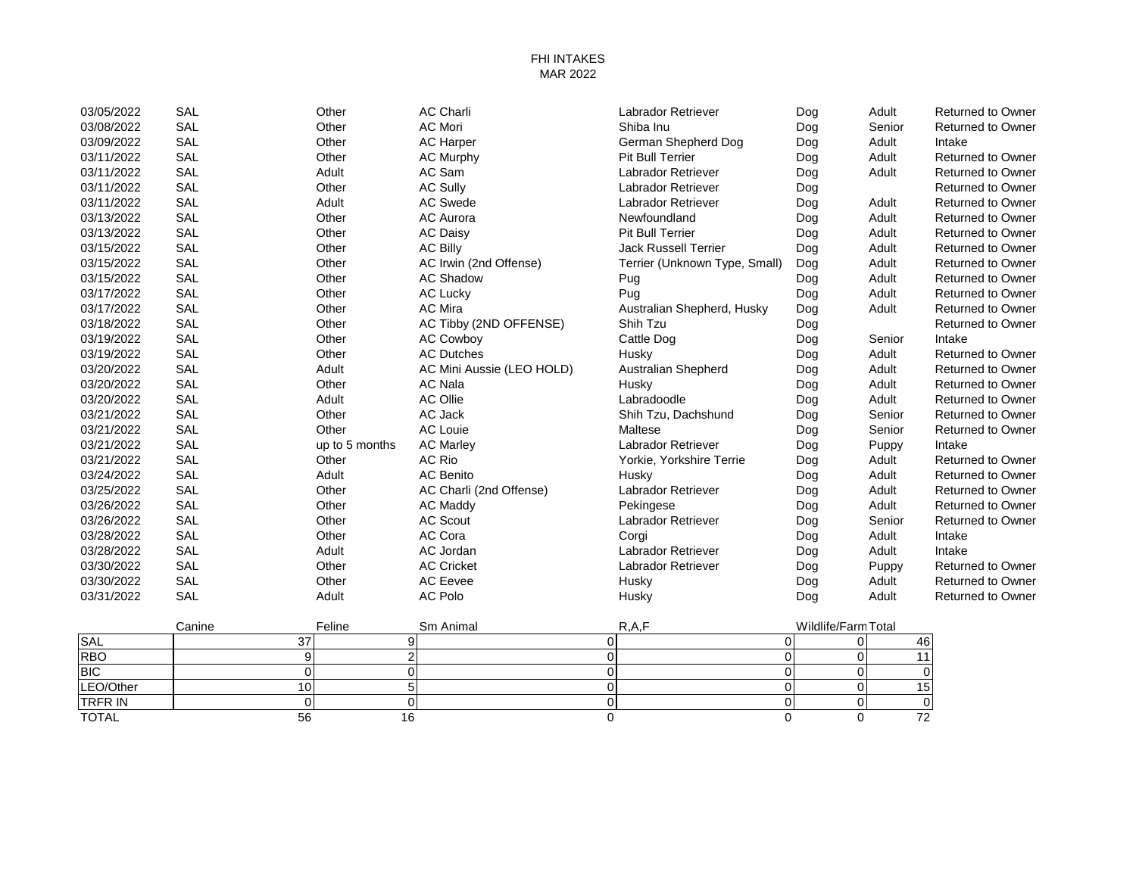## FHI INTAKES MAR 2022

| 03/05/2022 | <b>SAL</b> | Other          | <b>AC Charli</b>          | <b>Labrador Retriever</b>     | Dog | Adult  | <b>Returned to Owner</b> |
|------------|------------|----------------|---------------------------|-------------------------------|-----|--------|--------------------------|
| 03/08/2022 | <b>SAL</b> | Other          | <b>AC Mori</b>            | Shiba Inu                     | Dog | Senior | <b>Returned to Owner</b> |
| 03/09/2022 | <b>SAL</b> | Other          | <b>AC Harper</b>          | German Shepherd Dog           | Dog | Adult  | Intake                   |
| 03/11/2022 | <b>SAL</b> | Other          | <b>AC Murphy</b>          | <b>Pit Bull Terrier</b>       | Dog | Adult  | <b>Returned to Owner</b> |
| 03/11/2022 | <b>SAL</b> | Adult          | AC Sam                    | Labrador Retriever            | Dog | Adult  | <b>Returned to Owner</b> |
| 03/11/2022 | <b>SAL</b> | Other          | <b>AC Sully</b>           | Labrador Retriever            | Dog |        | <b>Returned to Owner</b> |
| 03/11/2022 | <b>SAL</b> | Adult          | <b>AC Swede</b>           | Labrador Retriever            | Dog | Adult  | <b>Returned to Owner</b> |
| 03/13/2022 | <b>SAL</b> | Other          | <b>AC Aurora</b>          | Newfoundland                  | Dog | Adult  | <b>Returned to Owner</b> |
| 03/13/2022 | <b>SAL</b> | Other          | <b>AC Daisy</b>           | <b>Pit Bull Terrier</b>       | Dog | Adult  | <b>Returned to Owner</b> |
| 03/15/2022 | <b>SAL</b> | Other          | <b>AC Billy</b>           | <b>Jack Russell Terrier</b>   | Dog | Adult  | <b>Returned to Owner</b> |
| 03/15/2022 | SAL        | Other          | AC Irwin (2nd Offense)    | Terrier (Unknown Type, Small) | Dog | Adult  | <b>Returned to Owner</b> |
| 03/15/2022 | <b>SAL</b> | Other          | <b>AC Shadow</b>          | Pug                           | Dog | Adult  | <b>Returned to Owner</b> |
| 03/17/2022 | <b>SAL</b> | Other          | <b>AC Lucky</b>           | Pug                           | Dog | Adult  | <b>Returned to Owner</b> |
| 03/17/2022 | <b>SAL</b> | Other          | <b>AC Mira</b>            | Australian Shepherd, Husky    | Dog | Adult  | <b>Returned to Owner</b> |
| 03/18/2022 | <b>SAL</b> | Other          | AC Tibby (2ND OFFENSE)    | Shih Tzu                      | Dog |        | <b>Returned to Owner</b> |
| 03/19/2022 | SAL        | Other          | <b>AC Cowboy</b>          | Cattle Dog                    | Dog | Senior | Intake                   |
| 03/19/2022 | <b>SAL</b> | Other          | <b>AC Dutches</b>         | Husky                         | Dog | Adult  | <b>Returned to Owner</b> |
| 03/20/2022 | SAL        | Adult          | AC Mini Aussie (LEO HOLD) | <b>Australian Shepherd</b>    | Dog | Adult  | <b>Returned to Owner</b> |
| 03/20/2022 | <b>SAL</b> | Other          | <b>AC Nala</b>            | Husky                         | Dog | Adult  | <b>Returned to Owner</b> |
| 03/20/2022 | SAL        | Adult          | <b>AC Ollie</b>           | Labradoodle                   | Dog | Adult  | <b>Returned to Owner</b> |
| 03/21/2022 | <b>SAL</b> | Other          | AC Jack                   | Shih Tzu, Dachshund           | Dog | Senior | <b>Returned to Owner</b> |
| 03/21/2022 | <b>SAL</b> | Other          | <b>AC Louie</b>           | Maltese                       | Dog | Senior | <b>Returned to Owner</b> |
| 03/21/2022 | <b>SAL</b> | up to 5 months | <b>AC Marley</b>          | <b>Labrador Retriever</b>     | Dog | Puppy  | Intake                   |
| 03/21/2022 | <b>SAL</b> | Other          | AC Rio                    | Yorkie, Yorkshire Terrie      | Dog | Adult  | <b>Returned to Owner</b> |
| 03/24/2022 | <b>SAL</b> | Adult          | AC Benito                 | Husky                         | Dog | Adult  | <b>Returned to Owner</b> |
| 03/25/2022 | <b>SAL</b> | Other          | AC Charli (2nd Offense)   | Labrador Retriever            | Dog | Adult  | <b>Returned to Owner</b> |
| 03/26/2022 | SAL        | Other          | AC Maddy                  | Pekingese                     | Dog | Adult  | <b>Returned to Owner</b> |
| 03/26/2022 | SAL        | Other          | AC Scout                  | Labrador Retriever            | Dog | Senior | <b>Returned to Owner</b> |
| 03/28/2022 | <b>SAL</b> | Other          | AC Cora                   | Corgi                         | Dog | Adult  | Intake                   |
| 03/28/2022 | <b>SAL</b> | Adult          | AC Jordan                 | Labrador Retriever            | Dog | Adult  | Intake                   |
| 03/30/2022 | <b>SAL</b> | Other          | <b>AC Cricket</b>         | Labrador Retriever            | Dog | Puppy  | <b>Returned to Owner</b> |
| 03/30/2022 | <b>SAL</b> | Other          | AC Eevee                  | Husky                         | Dog | Adult  | <b>Returned to Owner</b> |
| 03/31/2022 | SAL        | Adult          | <b>AC Polo</b>            | Husky                         | Dog | Adult  | <b>Returned to Owner</b> |

|                | Canine | Feline | Sm Animal | R.A.F | Wildlife/Farm Total |                 |
|----------------|--------|--------|-----------|-------|---------------------|-----------------|
| SAL            |        |        |           |       |                     | 46              |
| <b>RBO</b>     |        |        |           |       |                     |                 |
| <b>BIC</b>     |        |        |           |       |                     |                 |
| LEO/Other      |        |        |           |       |                     | 15 <sub>1</sub> |
| <b>TRFR IN</b> |        |        |           |       |                     |                 |
| <b>TOTAL</b>   | 56     |        |           |       |                     |                 |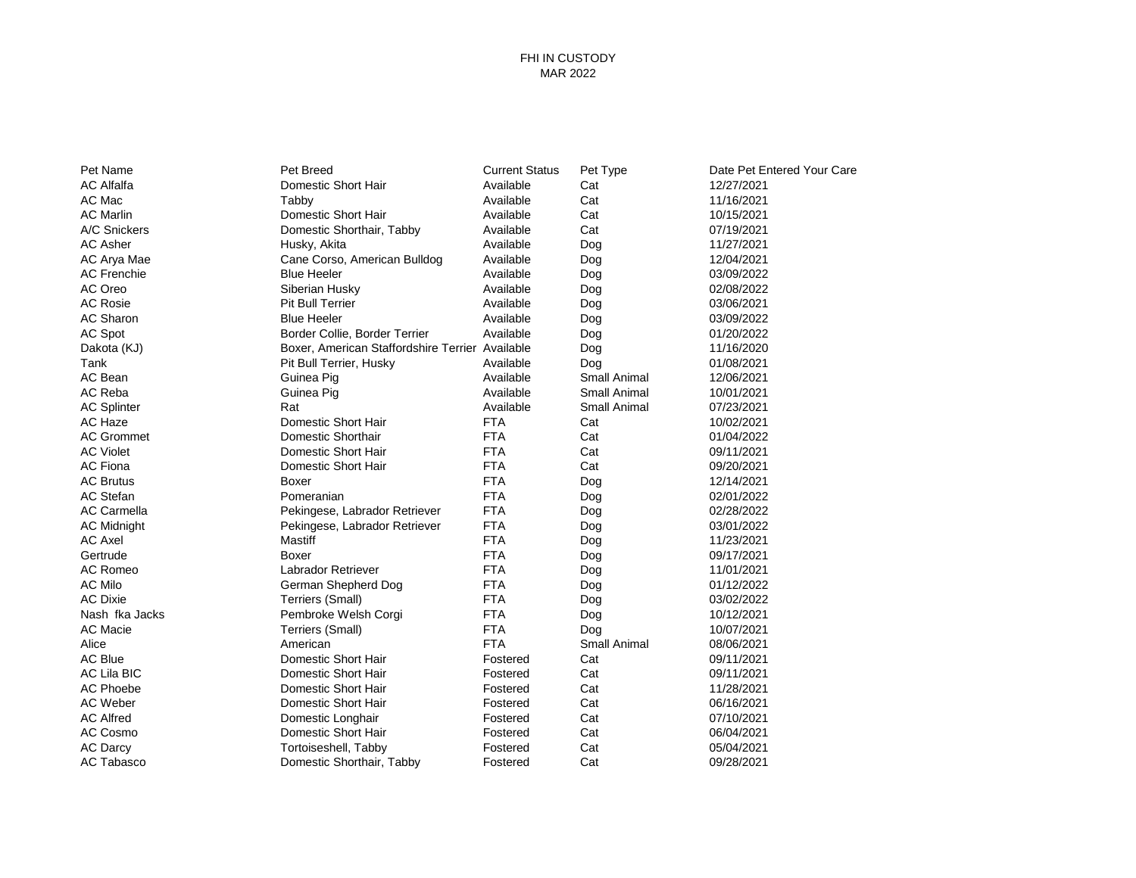## FHI IN CUSTODY MAR 2022

| Pet Name           | Pet Breed                                       | <b>Current Status</b> | Pet Type            | Date Pet Entered Your Care |
|--------------------|-------------------------------------------------|-----------------------|---------------------|----------------------------|
| <b>AC Alfalfa</b>  | Domestic Short Hair                             | Available             | Cat                 | 12/27/2021                 |
| AC Mac             | Tabby                                           | Available             | Cat                 | 11/16/2021                 |
| <b>AC Marlin</b>   | Domestic Short Hair                             | Available             | Cat                 | 10/15/2021                 |
| A/C Snickers       | Domestic Shorthair, Tabby                       | Available             | Cat                 | 07/19/2021                 |
| <b>AC Asher</b>    | Husky, Akita                                    | Available             | Dog                 | 11/27/2021                 |
| AC Arya Mae        | Cane Corso, American Bulldog                    | Available             | Dog                 | 12/04/2021                 |
| <b>AC Frenchie</b> | <b>Blue Heeler</b>                              | Available             | Dog                 | 03/09/2022                 |
| AC Oreo            | Siberian Husky                                  | Available             | Dog                 | 02/08/2022                 |
| <b>AC Rosie</b>    | Pit Bull Terrier                                | Available             | Dog                 | 03/06/2021                 |
| AC Sharon          | <b>Blue Heeler</b>                              | Available             | Dog                 | 03/09/2022                 |
| AC Spot            | Border Collie, Border Terrier                   | Available             | Dog                 | 01/20/2022                 |
| Dakota (KJ)        | Boxer, American Staffordshire Terrier Available |                       | Dog                 | 11/16/2020                 |
| Tank               | Pit Bull Terrier, Husky                         | Available             | Dog                 | 01/08/2021                 |
| AC Bean            | Guinea Pig                                      | Available             | <b>Small Animal</b> | 12/06/2021                 |
| AC Reba            | Guinea Pig                                      | Available             | Small Animal        | 10/01/2021                 |
| <b>AC Splinter</b> | Rat                                             | Available             | Small Animal        | 07/23/2021                 |
| AC Haze            | Domestic Short Hair                             | <b>FTA</b>            | Cat                 | 10/02/2021                 |
| <b>AC Grommet</b>  | Domestic Shorthair                              | <b>FTA</b>            | Cat                 | 01/04/2022                 |
| <b>AC Violet</b>   | Domestic Short Hair                             | <b>FTA</b>            | Cat                 | 09/11/2021                 |
| <b>AC Fiona</b>    | Domestic Short Hair                             | <b>FTA</b>            | Cat                 | 09/20/2021                 |
| <b>AC Brutus</b>   | Boxer                                           | <b>FTA</b>            | Dog                 | 12/14/2021                 |
| <b>AC Stefan</b>   | Pomeranian                                      | <b>FTA</b>            | Dog                 | 02/01/2022                 |
| <b>AC Carmella</b> | Pekingese, Labrador Retriever                   | <b>FTA</b>            | Dog                 | 02/28/2022                 |
| <b>AC Midnight</b> | Pekingese, Labrador Retriever                   | <b>FTA</b>            | Dog                 | 03/01/2022                 |
| <b>AC Axel</b>     | Mastiff                                         | <b>FTA</b>            | Dog                 | 11/23/2021                 |
| Gertrude           | Boxer                                           | <b>FTA</b>            | Dog                 | 09/17/2021                 |
| AC Romeo           | Labrador Retriever                              | <b>FTA</b>            | Dog                 | 11/01/2021                 |
| <b>AC Milo</b>     | German Shepherd Dog                             | <b>FTA</b>            | Dog                 | 01/12/2022                 |
| <b>AC Dixie</b>    | Terriers (Small)                                | <b>FTA</b>            | Dog                 | 03/02/2022                 |
| Nash fka Jacks     | Pembroke Welsh Corgi                            | <b>FTA</b>            | Dog                 | 10/12/2021                 |
| <b>AC Macie</b>    | Terriers (Small)                                | <b>FTA</b>            | Dog                 | 10/07/2021                 |
| Alice              | American                                        | <b>FTA</b>            | <b>Small Animal</b> | 08/06/2021                 |
| <b>AC Blue</b>     | Domestic Short Hair                             | Fostered              | Cat                 | 09/11/2021                 |
| <b>AC Lila BIC</b> | Domestic Short Hair                             | Fostered              | Cat                 | 09/11/2021                 |
| AC Phoebe          | Domestic Short Hair                             | Fostered              | Cat                 | 11/28/2021                 |
| <b>AC Weber</b>    | Domestic Short Hair                             | Fostered              | Cat                 | 06/16/2021                 |
| <b>AC Alfred</b>   | Domestic Longhair                               | Fostered              | Cat                 | 07/10/2021                 |
| AC Cosmo           | Domestic Short Hair                             | Fostered              | Cat                 | 06/04/2021                 |
| <b>AC Darcy</b>    | Tortoiseshell, Tabby                            | Fostered              | Cat                 | 05/04/2021                 |
| <b>AC Tabasco</b>  | Domestic Shorthair, Tabby                       | Fostered              | Cat                 | 09/28/2021                 |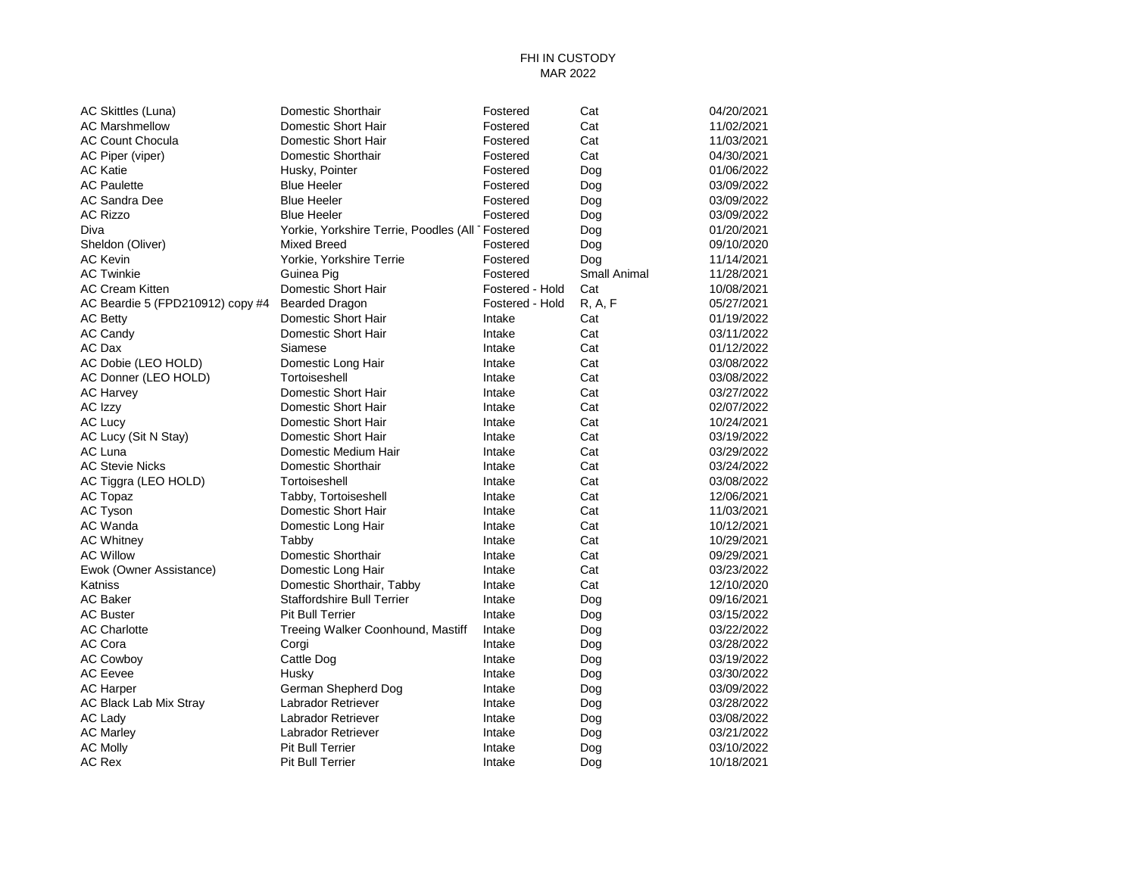# FHI IN CUSTODY MAR 2022

| AC Skittles (Luna)               | Domestic Shorthair                              | Fostered        | Cat          | 04/20/2021 |
|----------------------------------|-------------------------------------------------|-----------------|--------------|------------|
| <b>AC Marshmellow</b>            | Domestic Short Hair                             | Fostered        | Cat          | 11/02/2021 |
| AC Count Chocula                 | Domestic Short Hair                             | Fostered        | Cat          | 11/03/2021 |
| AC Piper (viper)                 | Domestic Shorthair                              | Fostered        | Cat          | 04/30/2021 |
| <b>AC Katie</b>                  | Husky, Pointer                                  | Fostered        | Dog          | 01/06/2022 |
| <b>AC Paulette</b>               | <b>Blue Heeler</b>                              | Fostered        | Dog          | 03/09/2022 |
| <b>AC Sandra Dee</b>             | <b>Blue Heeler</b>                              | Fostered        | Dog          | 03/09/2022 |
| <b>AC Rizzo</b>                  | <b>Blue Heeler</b>                              | Fostered        | Dog          | 03/09/2022 |
| Diva                             | Yorkie, Yorkshire Terrie, Poodles (All Fostered |                 | Dog          | 01/20/2021 |
| Sheldon (Oliver)                 | Mixed Breed                                     | Fostered        | Dog          | 09/10/2020 |
| <b>AC Kevin</b>                  | Yorkie, Yorkshire Terrie                        | Fostered        | Dog          | 11/14/2021 |
| <b>AC Twinkie</b>                | Guinea Pig                                      | Fostered        | Small Animal | 11/28/2021 |
| <b>AC Cream Kitten</b>           | Domestic Short Hair                             | Fostered - Hold | Cat          | 10/08/2021 |
| AC Beardie 5 (FPD210912) copy #4 | <b>Bearded Dragon</b>                           | Fostered - Hold | R, A, F      | 05/27/2021 |
| AC Betty                         | Domestic Short Hair                             | Intake          | Cat          | 01/19/2022 |
| <b>AC Candy</b>                  | Domestic Short Hair                             | Intake          | Cat          | 03/11/2022 |
| AC Dax                           | Siamese                                         | Intake          | Cat          | 01/12/2022 |
| AC Dobie (LEO HOLD)              | Domestic Long Hair                              | Intake          | Cat          | 03/08/2022 |
| AC Donner (LEO HOLD)             | Tortoiseshell                                   | Intake          | Cat          | 03/08/2022 |
| <b>AC Harvey</b>                 | Domestic Short Hair                             | Intake          | Cat          | 03/27/2022 |
| AC Izzy                          | Domestic Short Hair                             | Intake          | Cat          | 02/07/2022 |
| AC Lucy                          | Domestic Short Hair                             | Intake          | Cat          | 10/24/2021 |
| AC Lucy (Sit N Stay)             | Domestic Short Hair                             | Intake          | Cat          | 03/19/2022 |
| AC Luna                          | Domestic Medium Hair                            | Intake          | Cat          | 03/29/2022 |
| <b>AC Stevie Nicks</b>           | Domestic Shorthair                              | Intake          | Cat          | 03/24/2022 |
| AC Tiggra (LEO HOLD)             | Tortoiseshell                                   | Intake          | Cat          | 03/08/2022 |
| AC Topaz                         | Tabby, Tortoiseshell                            | Intake          | Cat          | 12/06/2021 |
| AC Tyson                         | Domestic Short Hair                             | Intake          | Cat          | 11/03/2021 |
| AC Wanda                         | Domestic Long Hair                              | Intake          | Cat          | 10/12/2021 |
| <b>AC Whitney</b>                | Tabby                                           | Intake          | Cat          | 10/29/2021 |
| <b>AC Willow</b>                 | Domestic Shorthair                              | Intake          | Cat          | 09/29/2021 |
| Ewok (Owner Assistance)          | Domestic Long Hair                              | Intake          | Cat          | 03/23/2022 |
| Katniss                          | Domestic Shorthair, Tabby                       | Intake          | Cat          | 12/10/2020 |
| <b>AC Baker</b>                  | <b>Staffordshire Bull Terrier</b>               | Intake          | Dog          | 09/16/2021 |
| <b>AC Buster</b>                 | <b>Pit Bull Terrier</b>                         | Intake          | Dog          | 03/15/2022 |
| <b>AC Charlotte</b>              | Treeing Walker Coonhound, Mastiff               | Intake          | Dog          | 03/22/2022 |
| AC Cora                          | Corgi                                           | Intake          | Dog          | 03/28/2022 |
| <b>AC Cowboy</b>                 | Cattle Dog                                      | Intake          | Dog          | 03/19/2022 |
| <b>AC Eevee</b>                  | Husky                                           | Intake          | Dog          | 03/30/2022 |
| <b>AC Harper</b>                 | German Shepherd Dog                             | Intake          | Dog          | 03/09/2022 |
| AC Black Lab Mix Stray           | Labrador Retriever                              | Intake          | Dog          | 03/28/2022 |
| AC Lady                          | Labrador Retriever                              | Intake          | Dog          | 03/08/2022 |
| <b>AC Marley</b>                 | Labrador Retriever                              | Intake          | Dog          | 03/21/2022 |
| <b>AC Molly</b>                  | <b>Pit Bull Terrier</b>                         | Intake          | Dog          | 03/10/2022 |
| <b>AC Rex</b>                    | <b>Pit Bull Terrier</b>                         | Intake          | Dog          | 10/18/2021 |
|                                  |                                                 |                 |              |            |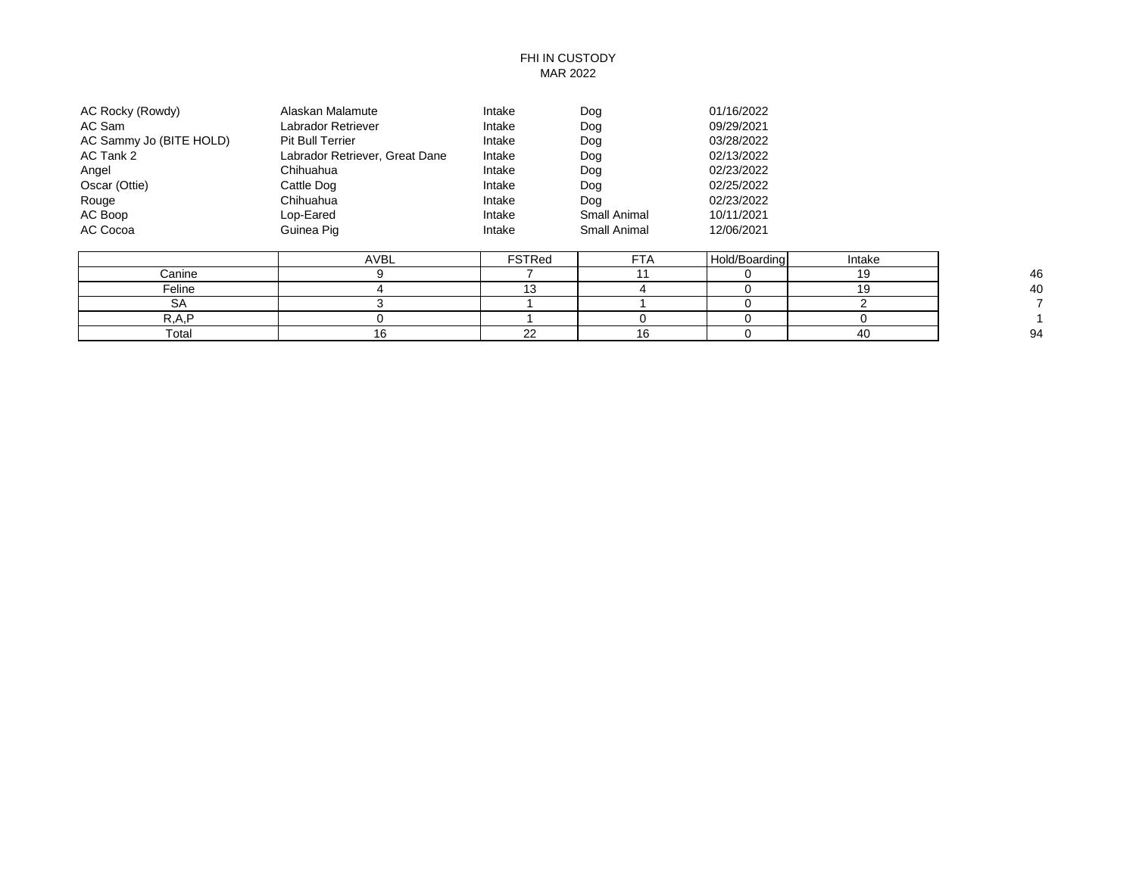# FHI IN CUSTODY MAR 2022

| AC Rocky (Rowdy)        | Alaskan Malamute               | Intake | Dog          | 01/16/2022 |
|-------------------------|--------------------------------|--------|--------------|------------|
| AC Sam                  | Labrador Retriever             | Intake | Dog          | 09/29/2021 |
| AC Sammy Jo (BITE HOLD) | <b>Pit Bull Terrier</b>        | Intake | Dog          | 03/28/2022 |
| AC Tank 2               | Labrador Retriever, Great Dane | Intake | Dog          | 02/13/2022 |
| Angel                   | Chihuahua                      | Intake | Dog          | 02/23/2022 |
| Oscar (Ottie)           | Cattle Dog                     | Intake | Dog          | 02/25/2022 |
| Rouge                   | Chihuahua                      | Intake | Dog          | 02/23/2022 |
| AC Boop                 | Lop-Eared                      | Intake | Small Animal | 10/11/2021 |
| AC Cocoa                | Guinea Pig                     | Intake | Small Animal | 12/06/2021 |

|        | AVBL | FSTRed | ET/<br>$\mathbf{F}$ | Hold/Boarding | Intake |    |
|--------|------|--------|---------------------|---------------|--------|----|
| Canine |      |        |                     |               |        | 46 |
| Feline |      | . .    |                     |               |        | 40 |
| ້      |      |        |                     |               |        |    |
| חת     |      |        |                     |               |        |    |
| Total  |      | $\sim$ |                     |               |        | 94 |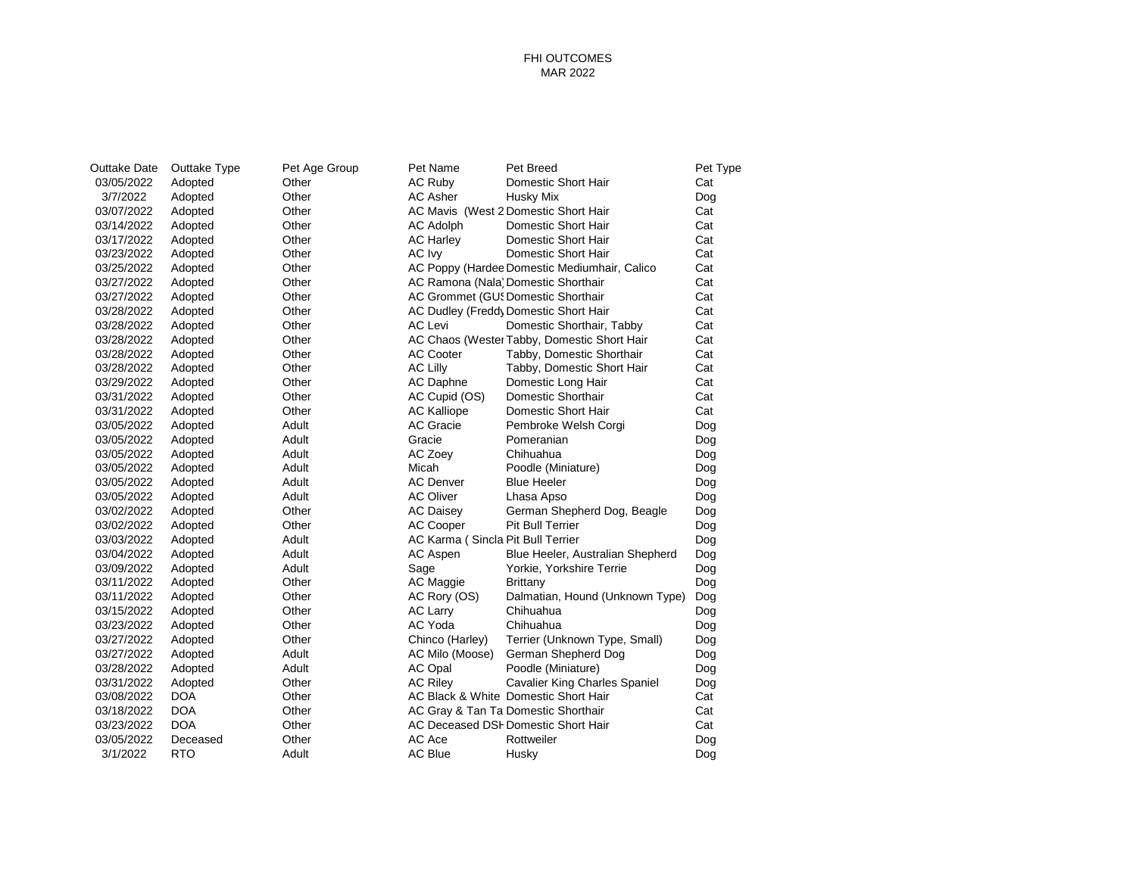### FHI OUTCOMES MAR 2022

| Outtake Date | Outtake Type | Pet Age Group | Pet Name                          | Pet Breed                                    | Pet Type |
|--------------|--------------|---------------|-----------------------------------|----------------------------------------------|----------|
| 03/05/2022   | Adopted      | Other         | AC Ruby                           | Domestic Short Hair                          | Cat      |
| 3/7/2022     | Adopted      | Other         | <b>AC Asher</b>                   | Husky Mix                                    | Dog      |
| 03/07/2022   | Adopted      | Other         |                                   | AC Mavis (West 2 Domestic Short Hair         | Cat      |
| 03/14/2022   | Adopted      | Other         | <b>AC Adolph</b>                  | Domestic Short Hair                          | Cat      |
| 03/17/2022   | Adopted      | Other         | <b>AC Harley</b>                  | Domestic Short Hair                          | Cat      |
| 03/23/2022   | Adopted      | Other         | AC Ivy                            | Domestic Short Hair                          | Cat      |
| 03/25/2022   | Adopted      | Other         |                                   | AC Poppy (Hardee Domestic Mediumhair, Calico | Cat      |
| 03/27/2022   | Adopted      | Other         |                                   | AC Ramona (Nala) Domestic Shorthair          | Cat      |
| 03/27/2022   | Adopted      | Other         |                                   | AC Grommet (GU! Domestic Shorthair           | Cat      |
| 03/28/2022   | Adopted      | Other         |                                   | AC Dudley (Freddy Domestic Short Hair        | Cat      |
| 03/28/2022   | Adopted      | Other         | AC Levi                           | Domestic Shorthair, Tabby                    | Cat      |
| 03/28/2022   | Adopted      | Other         |                                   | AC Chaos (Wester Tabby, Domestic Short Hair  | Cat      |
| 03/28/2022   | Adopted      | Other         | <b>AC Cooter</b>                  | Tabby, Domestic Shorthair                    | Cat      |
| 03/28/2022   | Adopted      | Other         | <b>AC Lilly</b>                   | Tabby, Domestic Short Hair                   | Cat      |
| 03/29/2022   | Adopted      | Other         | AC Daphne                         | Domestic Long Hair                           | Cat      |
| 03/31/2022   | Adopted      | Other         | AC Cupid (OS)                     | Domestic Shorthair                           | Cat      |
| 03/31/2022   | Adopted      | Other         | <b>AC Kalliope</b>                | Domestic Short Hair                          | Cat      |
| 03/05/2022   | Adopted      | Adult         | <b>AC Gracie</b>                  | Pembroke Welsh Corgi                         | Dog      |
| 03/05/2022   | Adopted      | Adult         | Gracie                            | Pomeranian                                   | Dog      |
| 03/05/2022   | Adopted      | Adult         | AC Zoey                           | Chihuahua                                    | Dog      |
| 03/05/2022   | Adopted      | Adult         | Micah                             | Poodle (Miniature)                           | Dog      |
| 03/05/2022   | Adopted      | Adult         | <b>AC Denver</b>                  | <b>Blue Heeler</b>                           | Dog      |
| 03/05/2022   | Adopted      | Adult         | <b>AC Oliver</b>                  | Lhasa Apso                                   | Dog      |
| 03/02/2022   | Adopted      | Other         | <b>AC Daisey</b>                  | German Shepherd Dog, Beagle                  | Dog      |
| 03/02/2022   | Adopted      | Other         | <b>AC Cooper</b>                  | <b>Pit Bull Terrier</b>                      | Dog      |
| 03/03/2022   | Adopted      | Adult         | AC Karma (Sincla Pit Bull Terrier |                                              | Dog      |
| 03/04/2022   | Adopted      | Adult         | AC Aspen                          | Blue Heeler, Australian Shepherd             | Dog      |
| 03/09/2022   | Adopted      | Adult         | Sage                              | Yorkie, Yorkshire Terrie                     | Dog      |
| 03/11/2022   | Adopted      | Other         | AC Maggie                         | <b>Brittany</b>                              | Dog      |
| 03/11/2022   | Adopted      | Other         | AC Rory (OS)                      | Dalmatian, Hound (Unknown Type)              | Dog      |
| 03/15/2022   | Adopted      | Other         | AC Larry                          | Chihuahua                                    | Dog      |
| 03/23/2022   | Adopted      | Other         | AC Yoda                           | Chihuahua                                    | Dog      |
| 03/27/2022   | Adopted      | Other         | Chinco (Harley)                   | Terrier (Unknown Type, Small)                | Dog      |
| 03/27/2022   | Adopted      | Adult         | AC Milo (Moose)                   | German Shepherd Dog                          | Dog      |
| 03/28/2022   | Adopted      | Adult         | AC Opal                           | Poodle (Miniature)                           | Dog      |
| 03/31/2022   | Adopted      | Other         | <b>AC Riley</b>                   | <b>Cavalier King Charles Spaniel</b>         | Dog      |
| 03/08/2022   | <b>DOA</b>   | Other         |                                   | AC Black & White Domestic Short Hair         | Cat      |
| 03/18/2022   | <b>DOA</b>   | Other         |                                   | AC Gray & Tan Ta Domestic Shorthair          | Cat      |
| 03/23/2022   | <b>DOA</b>   | Other         |                                   | AC Deceased DSI Domestic Short Hair          | Cat      |
| 03/05/2022   | Deceased     | Other         | AC Ace                            | Rottweiler                                   | Dog      |
| 3/1/2022     | <b>RTO</b>   | Adult         | <b>AC Blue</b>                    | Husky                                        | Dog      |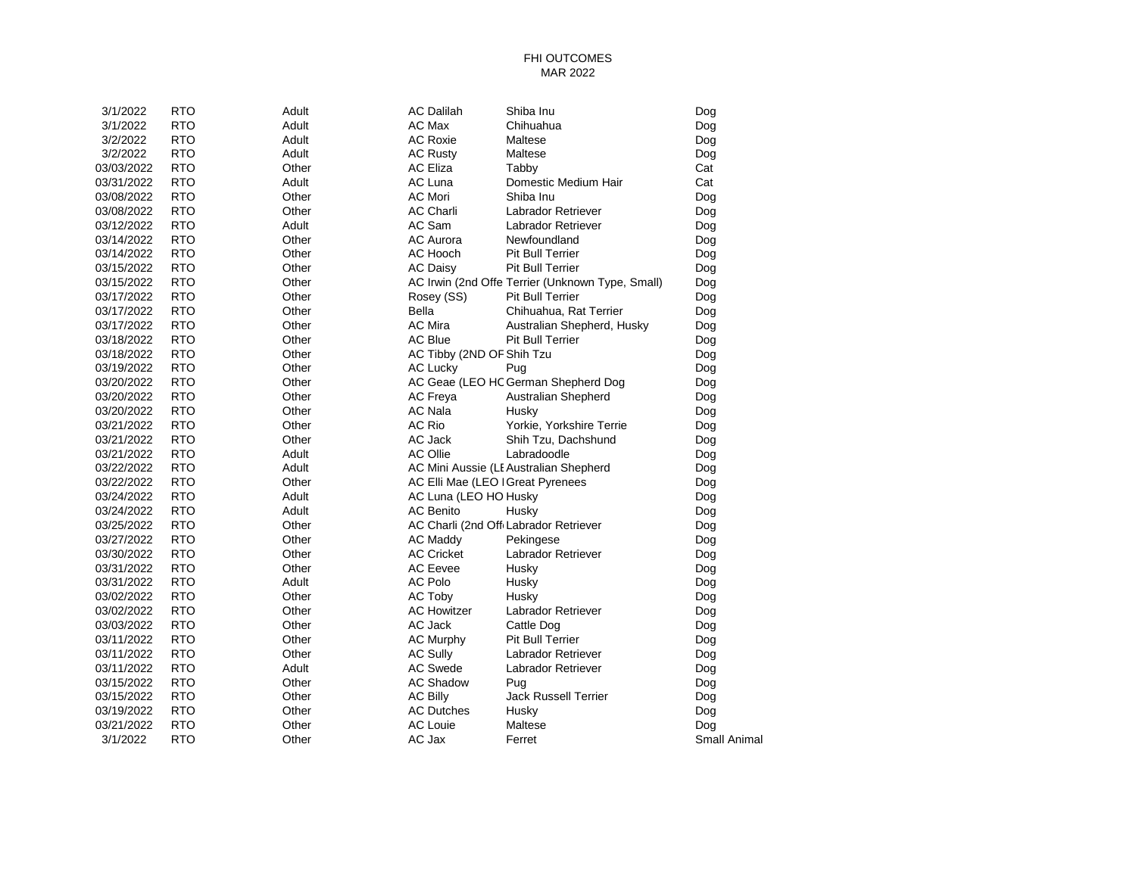### FHI OUTCOMES MAR 2022

| 3/1/2022   | <b>RTO</b> | Adult | <b>AC Dalilah</b>         | Shiba Inu                                        | Dog          |
|------------|------------|-------|---------------------------|--------------------------------------------------|--------------|
| 3/1/2022   | <b>RTO</b> | Adult | AC Max                    | Chihuahua                                        | Dog          |
| 3/2/2022   | <b>RTO</b> | Adult | <b>AC Roxie</b>           | Maltese                                          | Dog          |
| 3/2/2022   | <b>RTO</b> | Adult | <b>AC Rusty</b>           | Maltese                                          | Dog          |
| 03/03/2022 | <b>RTO</b> | Other | <b>AC Eliza</b>           | Tabby                                            | Cat          |
| 03/31/2022 | <b>RTO</b> | Adult | AC Luna                   | Domestic Medium Hair                             | Cat          |
| 03/08/2022 | <b>RTO</b> | Other | <b>AC Mori</b>            | Shiba Inu                                        | Dog          |
| 03/08/2022 | <b>RTO</b> | Other | <b>AC Charli</b>          | Labrador Retriever                               | Dog          |
| 03/12/2022 | <b>RTO</b> | Adult | AC Sam                    | Labrador Retriever                               | Dog          |
| 03/14/2022 | <b>RTO</b> | Other | <b>AC Aurora</b>          | Newfoundland                                     | Dog          |
| 03/14/2022 | <b>RTO</b> | Other | AC Hooch                  | <b>Pit Bull Terrier</b>                          | Dog          |
| 03/15/2022 | <b>RTO</b> | Other | <b>AC Daisy</b>           | Pit Bull Terrier                                 | Dog          |
| 03/15/2022 | <b>RTO</b> | Other |                           | AC Irwin (2nd Offe Terrier (Unknown Type, Small) | Dog          |
| 03/17/2022 | <b>RTO</b> | Other | Rosey (SS)                | <b>Pit Bull Terrier</b>                          | Dog          |
| 03/17/2022 | <b>RTO</b> | Other | Bella                     | Chihuahua, Rat Terrier                           | Dog          |
| 03/17/2022 | <b>RTO</b> | Other | <b>AC Mira</b>            | Australian Shepherd, Husky                       | Dog          |
| 03/18/2022 | <b>RTO</b> | Other | <b>AC Blue</b>            | <b>Pit Bull Terrier</b>                          | Dog          |
| 03/18/2022 | <b>RTO</b> | Other | AC Tibby (2ND OF Shih Tzu |                                                  | Dog          |
| 03/19/2022 | <b>RTO</b> | Other | <b>AC Lucky</b>           | Pug                                              | Dog          |
| 03/20/2022 | <b>RTO</b> | Other |                           | AC Geae (LEO HC German Shepherd Dog              | Dog          |
| 03/20/2022 | <b>RTO</b> | Other | <b>AC Freya</b>           | <b>Australian Shepherd</b>                       | Dog          |
| 03/20/2022 | <b>RTO</b> | Other | <b>AC Nala</b>            | Husky                                            | Dog          |
| 03/21/2022 | <b>RTO</b> | Other | <b>AC Rio</b>             | Yorkie, Yorkshire Terrie                         | Dog          |
| 03/21/2022 | <b>RTO</b> | Other | AC Jack                   | Shih Tzu, Dachshund                              | Dog          |
| 03/21/2022 | <b>RTO</b> | Adult | <b>AC Ollie</b>           | Labradoodle                                      | Dog          |
| 03/22/2022 | <b>RTO</b> | Adult |                           | AC Mini Aussie (LI Australian Shepherd           | Dog          |
| 03/22/2022 | <b>RTO</b> | Other |                           | AC Elli Mae (LEO I Great Pyrenees                | Dog          |
| 03/24/2022 | <b>RTO</b> | Adult | AC Luna (LEO HO Husky     |                                                  | Dog          |
| 03/24/2022 | <b>RTO</b> | Adult | <b>AC Benito</b>          | Husky                                            | Dog          |
| 03/25/2022 | <b>RTO</b> | Other |                           | AC Charli (2nd Off Labrador Retriever            | Dog          |
| 03/27/2022 | <b>RTO</b> | Other | <b>AC Maddy</b>           | Pekingese                                        | Dog          |
| 03/30/2022 | <b>RTO</b> | Other | <b>AC Cricket</b>         | Labrador Retriever                               | Dog          |
| 03/31/2022 | <b>RTO</b> | Other | <b>AC Eevee</b>           | Husky                                            | Dog          |
| 03/31/2022 | <b>RTO</b> | Adult | AC Polo                   | Husky                                            | Dog          |
| 03/02/2022 | <b>RTO</b> | Other | AC Toby                   | Husky                                            | Dog          |
| 03/02/2022 | <b>RTO</b> | Other | <b>AC Howitzer</b>        | Labrador Retriever                               | Dog          |
| 03/03/2022 | <b>RTO</b> | Other | AC Jack                   | Cattle Dog                                       | Dog          |
| 03/11/2022 | <b>RTO</b> | Other | <b>AC Murphy</b>          | Pit Bull Terrier                                 | Dog          |
| 03/11/2022 | <b>RTO</b> | Other | <b>AC Sully</b>           | Labrador Retriever                               | Dog          |
| 03/11/2022 | <b>RTO</b> | Adult | <b>AC Swede</b>           | Labrador Retriever                               | Dog          |
| 03/15/2022 | <b>RTO</b> | Other | <b>AC Shadow</b>          | Pug                                              | Dog          |
| 03/15/2022 | <b>RTO</b> | Other | <b>AC Billy</b>           | <b>Jack Russell Terrier</b>                      | Dog          |
| 03/19/2022 | <b>RTO</b> | Other | <b>AC Dutches</b>         | Husky                                            | Dog          |
| 03/21/2022 | <b>RTO</b> | Other | <b>AC Louie</b>           | Maltese                                          | Dog          |
| 3/1/2022   | <b>RTO</b> | Other | AC Jax                    | Ferret                                           | Small Animal |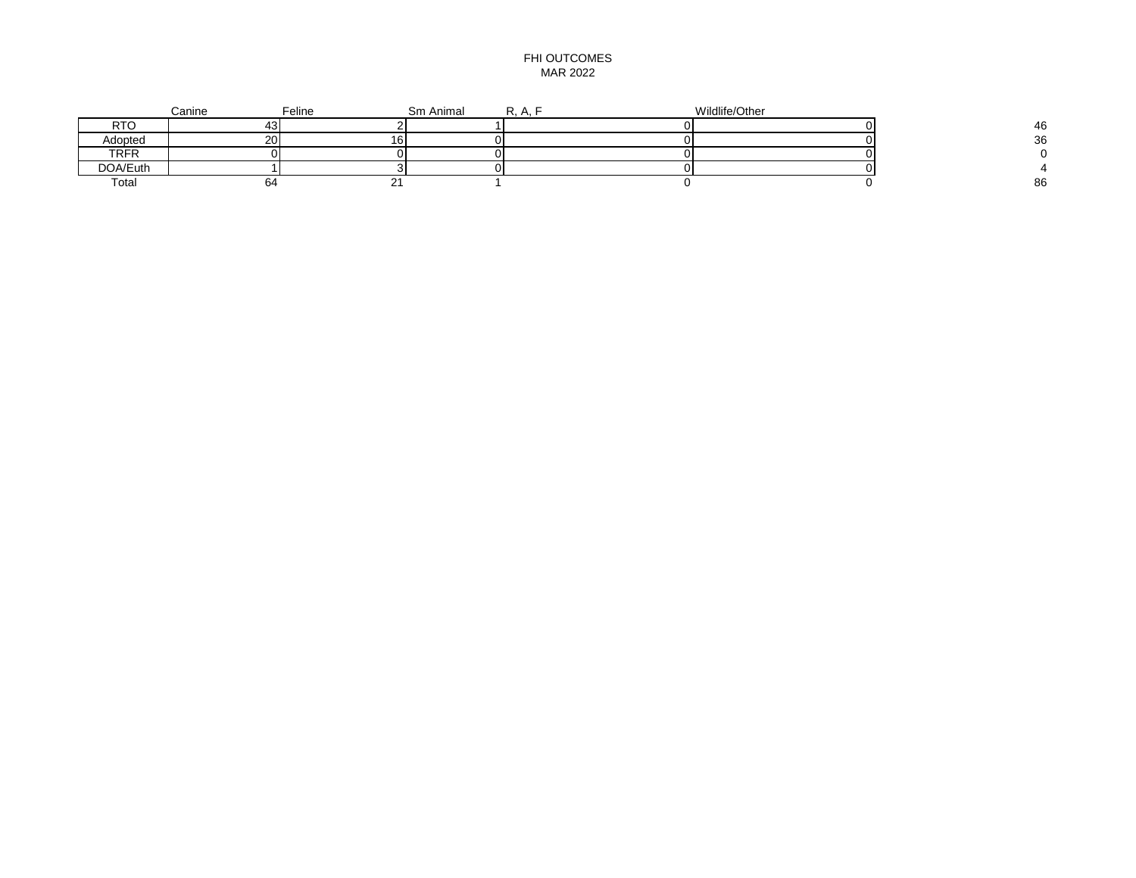### FHI OUTCOMES MAR 2022

|          | Canine | Feline | Sm Animal | R.A. | Wildlife/Other |    |
|----------|--------|--------|-----------|------|----------------|----|
| RTO      | ┭.,    |        |           |      |                | 46 |
| Adopted  | 20     | ס ו    |           |      |                | 36 |
| TRFR     |        |        |           |      |                |    |
| DOA/Euth |        |        |           |      |                |    |
| Total    | n4     |        |           |      |                | 86 |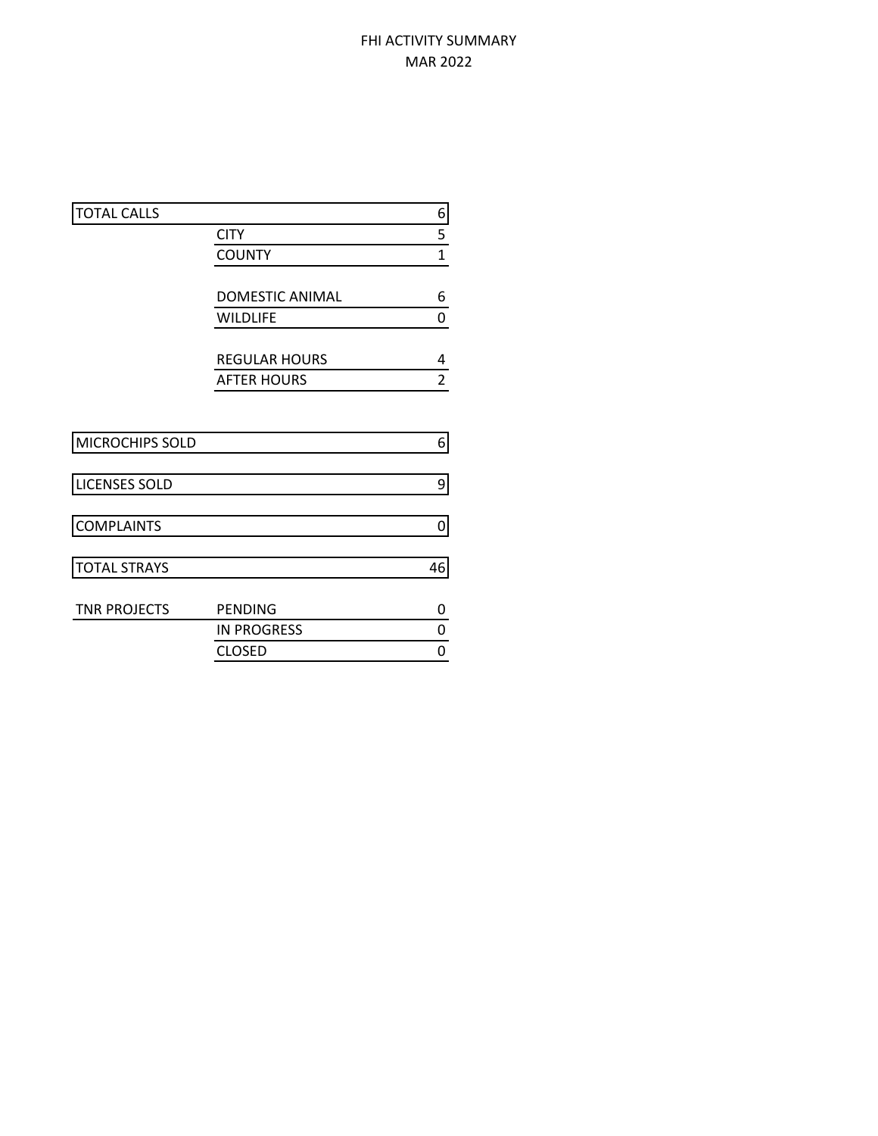# FHI ACTIVITY SUMMARY MAR 2022

| 6              |
|----------------|
| 5              |
|                |
| $\overline{1}$ |
|                |
| 6              |
| 0              |
|                |
| 4              |
| $\overline{2}$ |
|                |
|                |
| 6              |
|                |
| 9              |
|                |
| 0              |
|                |
| 46             |
|                |
| 0              |
| 0              |
| 0              |
|                |